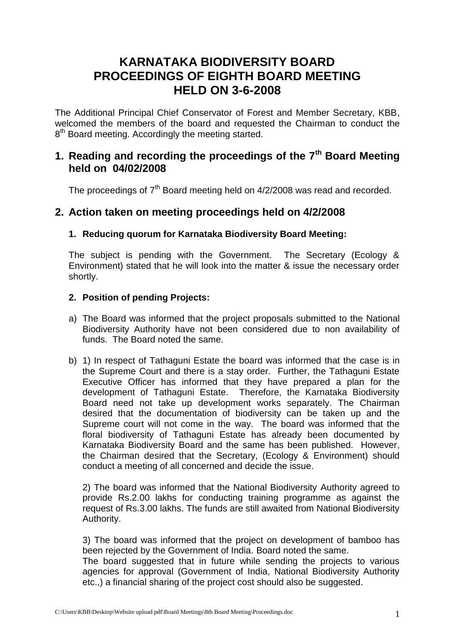# **KARNATAKA BIODIVERSITY BOARD PROCEEDINGS OF EIGHTH BOARD MEETING HELD ON 3-6-2008**

The Additional Principal Chief Conservator of Forest and Member Secretary, KBB, welcomed the members of the board and requested the Chairman to conduct the 8<sup>th</sup> Board meeting. Accordingly the meeting started.

# **1. Reading and recording the proceedings of the 7th Board Meeting held on 04/02/2008**

The proceedings of 7<sup>th</sup> Board meeting held on 4/2/2008 was read and recorded.

### **2. Action taken on meeting proceedings held on 4/2/2008**

#### **1. Reducing quorum for Karnataka Biodiversity Board Meeting:**

The subject is pending with the Government. The Secretary (Ecology & Environment) stated that he will look into the matter & issue the necessary order shortly.

#### **2. Position of pending Projects:**

- a) The Board was informed that the project proposals submitted to the National Biodiversity Authority have not been considered due to non availability of funds. The Board noted the same.
- b) 1) In respect of Tathaguni Estate the board was informed that the case is in the Supreme Court and there is a stay order. Further, the Tathaguni Estate Executive Officer has informed that they have prepared a plan for the development of Tathaguni Estate. Therefore, the Karnataka Biodiversity Board need not take up development works separately. The Chairman desired that the documentation of biodiversity can be taken up and the Supreme court will not come in the way. The board was informed that the floral biodiversity of Tathaguni Estate has already been documented by Karnataka Biodiversity Board and the same has been published. However, the Chairman desired that the Secretary, (Ecology & Environment) should conduct a meeting of all concerned and decide the issue.

2) The board was informed that the National Biodiversity Authority agreed to provide Rs.2.00 lakhs for conducting training programme as against the request of Rs.3.00 lakhs. The funds are still awaited from National Biodiversity Authority.

3) The board was informed that the project on development of bamboo has been rejected by the Government of India. Board noted the same.

The board suggested that in future while sending the projects to various agencies for approval (Government of India, National Biodiversity Authority etc.,) a financial sharing of the project cost should also be suggested.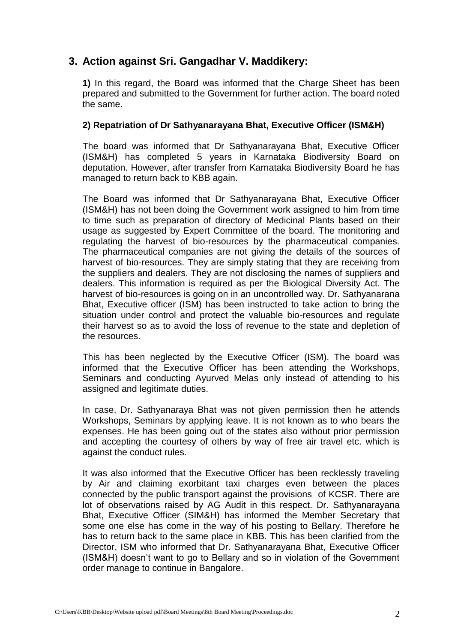# **3. Action against Sri. Gangadhar V. Maddikery:**

**1)** In this regard, the Board was informed that the Charge Sheet has been prepared and submitted to the Government for further action. The board noted the same.

#### **2) Repatriation of Dr Sathyanarayana Bhat, Executive Officer (ISM&H)**

The board was informed that Dr Sathyanarayana Bhat, Executive Officer (ISM&H) has completed 5 years in Karnataka Biodiversity Board on deputation. However, after transfer from Karnataka Biodiversity Board he has managed to return back to KBB again.

The Board was informed that Dr Sathyanarayana Bhat, Executive Officer (ISM&H) has not been doing the Government work assigned to him from time to time such as preparation of directory of Medicinal Plants based on their usage as suggested by Expert Committee of the board. The monitoring and regulating the harvest of bio-resources by the pharmaceutical companies. The pharmaceutical companies are not giving the details of the sources of harvest of bio-resources. They are simply stating that they are receiving from the suppliers and dealers. They are not disclosing the names of suppliers and dealers. This information is required as per the Biological Diversity Act. The harvest of bio-resources is going on in an uncontrolled way. Dr. Sathyanarana Bhat, Executive officer (ISM) has been instructed to take action to bring the situation under control and protect the valuable bio-resources and regulate their harvest so as to avoid the loss of revenue to the state and depletion of the resources.

This has been neglected by the Executive Officer (ISM). The board was informed that the Executive Officer has been attending the Workshops, Seminars and conducting Ayurved Melas only instead of attending to his assigned and legitimate duties.

In case, Dr. Sathyanaraya Bhat was not given permission then he attends Workshops, Seminars by applying leave. It is not known as to who bears the expenses. He has been going out of the states also without prior permission and accepting the courtesy of others by way of free air travel etc. which is against the conduct rules.

It was also informed that the Executive Officer has been recklessly traveling by Air and claiming exorbitant taxi charges even between the places connected by the public transport against the provisions of KCSR. There are lot of observations raised by AG Audit in this respect. Dr. Sathyanarayana Bhat, Executive Officer (SIM&H) has informed the Member Secretary that some one else has come in the way of his posting to Bellary. Therefore he has to return back to the same place in KBB. This has been clarified from the Director, ISM who informed that Dr. Sathyanarayana Bhat, Executive Officer (ISM&H) doesn't want to go to Bellary and so in violation of the Government order manage to continue in Bangalore.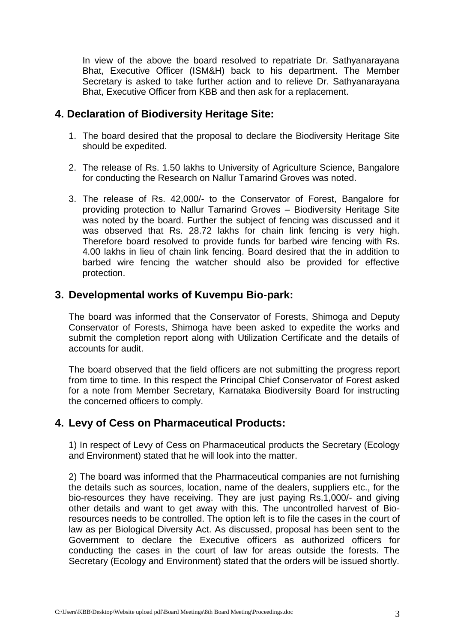In view of the above the board resolved to repatriate Dr. Sathyanarayana Bhat, Executive Officer (ISM&H) back to his department. The Member Secretary is asked to take further action and to relieve Dr. Sathyanarayana Bhat, Executive Officer from KBB and then ask for a replacement.

### **4. Declaration of Biodiversity Heritage Site:**

- 1. The board desired that the proposal to declare the Biodiversity Heritage Site should be expedited.
- 2. The release of Rs. 1.50 lakhs to University of Agriculture Science, Bangalore for conducting the Research on Nallur Tamarind Groves was noted.
- 3. The release of Rs. 42,000/- to the Conservator of Forest, Bangalore for providing protection to Nallur Tamarind Groves – Biodiversity Heritage Site was noted by the board. Further the subject of fencing was discussed and it was observed that Rs. 28.72 lakhs for chain link fencing is very high. Therefore board resolved to provide funds for barbed wire fencing with Rs. 4.00 lakhs in lieu of chain link fencing. Board desired that the in addition to barbed wire fencing the watcher should also be provided for effective protection.

### **3. Developmental works of Kuvempu Bio-park:**

The board was informed that the Conservator of Forests, Shimoga and Deputy Conservator of Forests, Shimoga have been asked to expedite the works and submit the completion report along with Utilization Certificate and the details of accounts for audit.

The board observed that the field officers are not submitting the progress report from time to time. In this respect the Principal Chief Conservator of Forest asked for a note from Member Secretary, Karnataka Biodiversity Board for instructing the concerned officers to comply.

### **4. Levy of Cess on Pharmaceutical Products:**

1) In respect of Levy of Cess on Pharmaceutical products the Secretary (Ecology and Environment) stated that he will look into the matter.

2) The board was informed that the Pharmaceutical companies are not furnishing the details such as sources, location, name of the dealers, suppliers etc., for the bio-resources they have receiving. They are just paying Rs.1,000/- and giving other details and want to get away with this. The uncontrolled harvest of Bioresources needs to be controlled. The option left is to file the cases in the court of law as per Biological Diversity Act. As discussed, proposal has been sent to the Government to declare the Executive officers as authorized officers for conducting the cases in the court of law for areas outside the forests. The Secretary (Ecology and Environment) stated that the orders will be issued shortly.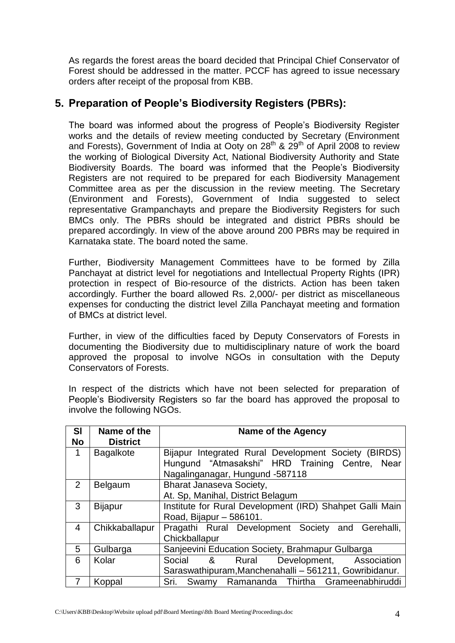As regards the forest areas the board decided that Principal Chief Conservator of Forest should be addressed in the matter. PCCF has agreed to issue necessary orders after receipt of the proposal from KBB.

# **5. Preparation of People's Biodiversity Registers (PBRs):**

The board was informed about the progress of People's Biodiversity Register works and the details of review meeting conducted by Secretary (Environment and Forests), Government of India at Ooty on  $28<sup>th</sup>$  &  $29<sup>th</sup>$  of April 2008 to review the working of Biological Diversity Act, National Biodiversity Authority and State Biodiversity Boards. The board was informed that the People's Biodiversity Registers are not required to be prepared for each Biodiversity Management Committee area as per the discussion in the review meeting. The Secretary (Environment and Forests), Government of India suggested to select representative Grampanchayts and prepare the Biodiversity Registers for such BMCs only. The PBRs should be integrated and district PBRs should be prepared accordingly. In view of the above around 200 PBRs may be required in Karnataka state. The board noted the same.

Further, Biodiversity Management Committees have to be formed by Zilla Panchayat at district level for negotiations and Intellectual Property Rights (IPR) protection in respect of Bio-resource of the districts. Action has been taken accordingly. Further the board allowed Rs. 2,000/- per district as miscellaneous expenses for conducting the district level Zilla Panchayat meeting and formation of BMCs at district level.

Further, in view of the difficulties faced by Deputy Conservators of Forests in documenting the Biodiversity due to multidisciplinary nature of work the board approved the proposal to involve NGOs in consultation with the Deputy Conservators of Forests.

In respect of the districts which have not been selected for preparation of People's Biodiversity Registers so far the board has approved the proposal to involve the following NGOs.

| <b>SI</b>      | Name of the      | <b>Name of the Agency</b>                                |  |  |  |
|----------------|------------------|----------------------------------------------------------|--|--|--|
| <b>No</b>      | <b>District</b>  |                                                          |  |  |  |
| 1              | <b>Bagalkote</b> | Bijapur Integrated Rural Development Society (BIRDS)     |  |  |  |
|                |                  | Hungund "Atmasakshi" HRD Training Centre, Near           |  |  |  |
|                |                  | Nagalinganagar, Hungund -587118                          |  |  |  |
| 2              | Belgaum          | <b>Bharat Janaseva Society,</b>                          |  |  |  |
|                |                  | At. Sp, Manihal, District Belagum                        |  |  |  |
| 3              | <b>Bijapur</b>   | Institute for Rural Development (IRD) Shahpet Galli Main |  |  |  |
|                |                  | Road, Bijapur - 586101.                                  |  |  |  |
| 4              | Chikkaballapur   | Pragathi Rural Development Society and Gerehalli,        |  |  |  |
|                |                  | Chickballapur                                            |  |  |  |
| 5              | Gulbarga         | Sanjeevini Education Society, Brahmapur Gulbarga         |  |  |  |
| 6              | Kolar            | Development, Association<br>Social<br>&<br>Rural         |  |  |  |
|                |                  | Saraswathipuram, Manchenahalli - 561211, Gowribidanur.   |  |  |  |
| $\overline{7}$ | Koppal           | Swamy Ramananda Thirtha Grameenabhiruddi<br>Sri.         |  |  |  |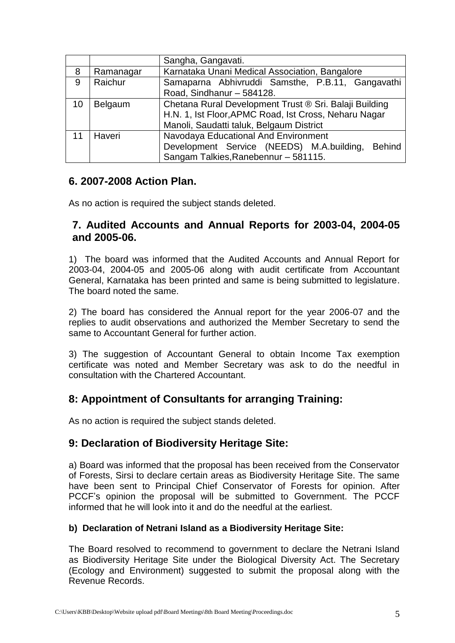|    |           | Sangha, Gangavati.                                         |  |  |
|----|-----------|------------------------------------------------------------|--|--|
| 8  | Ramanagar | Karnataka Unani Medical Association, Bangalore             |  |  |
| 9  | Raichur   | Samaparna Abhivruddi Samsthe, P.B.11, Gangavathi           |  |  |
|    |           | Road, Sindhanur - 584128.                                  |  |  |
| 10 | Belgaum   | Chetana Rural Development Trust ® Sri. Balaji Building     |  |  |
|    |           | H.N. 1, Ist Floor, APMC Road, Ist Cross, Neharu Nagar      |  |  |
|    |           | Manoli, Saudatti taluk, Belgaum District                   |  |  |
| 11 | Haveri    | Navodaya Educational And Environment                       |  |  |
|    |           | Development Service (NEEDS) M.A.building,<br><b>Behind</b> |  |  |
|    |           | Sangam Talkies, Ranebennur - 581115.                       |  |  |

### **6. 2007-2008 Action Plan.**

As no action is required the subject stands deleted.

### **7. Audited Accounts and Annual Reports for 2003-04, 2004-05 and 2005-06.**

1) The board was informed that the Audited Accounts and Annual Report for 2003-04, 2004-05 and 2005-06 along with audit certificate from Accountant General, Karnataka has been printed and same is being submitted to legislature. The board noted the same.

2) The board has considered the Annual report for the year 2006-07 and the replies to audit observations and authorized the Member Secretary to send the same to Accountant General for further action.

3) The suggestion of Accountant General to obtain Income Tax exemption certificate was noted and Member Secretary was ask to do the needful in consultation with the Chartered Accountant.

# **8: Appointment of Consultants for arranging Training:**

As no action is required the subject stands deleted.

### **9: Declaration of Biodiversity Heritage Site:**

a) Board was informed that the proposal has been received from the Conservator of Forests, Sirsi to declare certain areas as Biodiversity Heritage Site. The same have been sent to Principal Chief Conservator of Forests for opinion. After PCCF's opinion the proposal will be submitted to Government. The PCCF informed that he will look into it and do the needful at the earliest.

#### **b) Declaration of Netrani Island as a Biodiversity Heritage Site:**

The Board resolved to recommend to government to declare the Netrani Island as Biodiversity Heritage Site under the Biological Diversity Act. The Secretary (Ecology and Environment) suggested to submit the proposal along with the Revenue Records.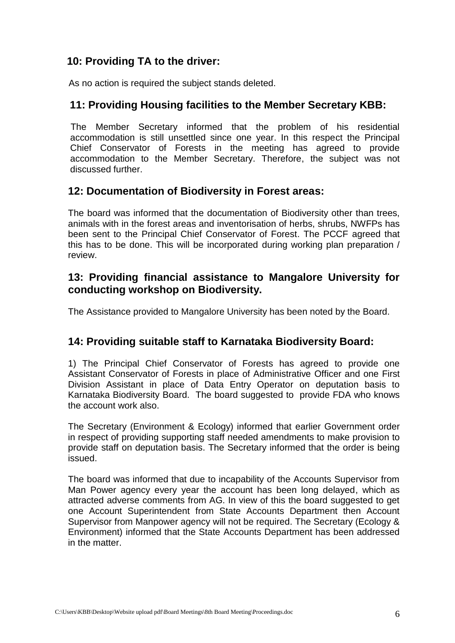# **10: Providing TA to the driver:**

As no action is required the subject stands deleted.

# **11: Providing Housing facilities to the Member Secretary KBB:**

The Member Secretary informed that the problem of his residential accommodation is still unsettled since one year. In this respect the Principal Chief Conservator of Forests in the meeting has agreed to provide accommodation to the Member Secretary. Therefore, the subject was not discussed further.

### **12: Documentation of Biodiversity in Forest areas:**

The board was informed that the documentation of Biodiversity other than trees, animals with in the forest areas and inventorisation of herbs, shrubs, NWFPs has been sent to the Principal Chief Conservator of Forest. The PCCF agreed that this has to be done. This will be incorporated during working plan preparation / review.

# **13: Providing financial assistance to Mangalore University for conducting workshop on Biodiversity.**

The Assistance provided to Mangalore University has been noted by the Board.

### **14: Providing suitable staff to Karnataka Biodiversity Board:**

1) The Principal Chief Conservator of Forests has agreed to provide one Assistant Conservator of Forests in place of Administrative Officer and one First Division Assistant in place of Data Entry Operator on deputation basis to Karnataka Biodiversity Board. The board suggested to provide FDA who knows the account work also.

The Secretary (Environment & Ecology) informed that earlier Government order in respect of providing supporting staff needed amendments to make provision to provide staff on deputation basis. The Secretary informed that the order is being issued.

The board was informed that due to incapability of the Accounts Supervisor from Man Power agency every year the account has been long delayed, which as attracted adverse comments from AG. In view of this the board suggested to get one Account Superintendent from State Accounts Department then Account Supervisor from Manpower agency will not be required. The Secretary (Ecology & Environment) informed that the State Accounts Department has been addressed in the matter.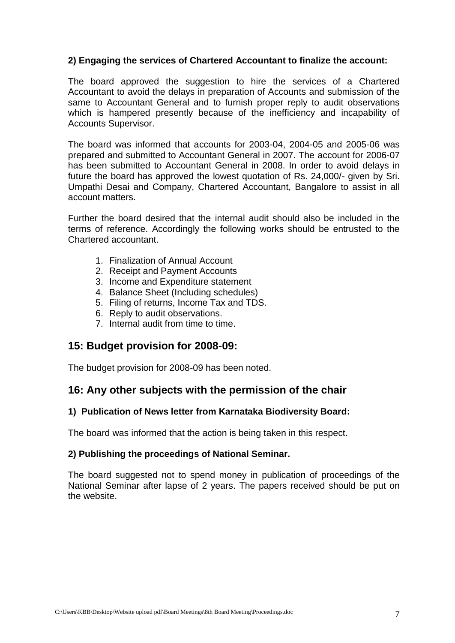#### **2) Engaging the services of Chartered Accountant to finalize the account:**

The board approved the suggestion to hire the services of a Chartered Accountant to avoid the delays in preparation of Accounts and submission of the same to Accountant General and to furnish proper reply to audit observations which is hampered presently because of the inefficiency and incapability of Accounts Supervisor.

The board was informed that accounts for 2003-04, 2004-05 and 2005-06 was prepared and submitted to Accountant General in 2007. The account for 2006-07 has been submitted to Accountant General in 2008. In order to avoid delays in future the board has approved the lowest quotation of Rs. 24,000/- given by Sri. Umpathi Desai and Company, Chartered Accountant, Bangalore to assist in all account matters.

Further the board desired that the internal audit should also be included in the terms of reference. Accordingly the following works should be entrusted to the Chartered accountant.

- 1. Finalization of Annual Account
- 2. Receipt and Payment Accounts
- 3. Income and Expenditure statement
- 4. Balance Sheet (Including schedules)
- 5. Filing of returns, Income Tax and TDS.
- 6. Reply to audit observations.
- 7. Internal audit from time to time.

### **15: Budget provision for 2008-09:**

The budget provision for 2008-09 has been noted.

### **16: Any other subjects with the permission of the chair**

#### **1) Publication of News letter from Karnataka Biodiversity Board:**

The board was informed that the action is being taken in this respect.

#### **2) Publishing the proceedings of National Seminar.**

The board suggested not to spend money in publication of proceedings of the National Seminar after lapse of 2 years. The papers received should be put on the website.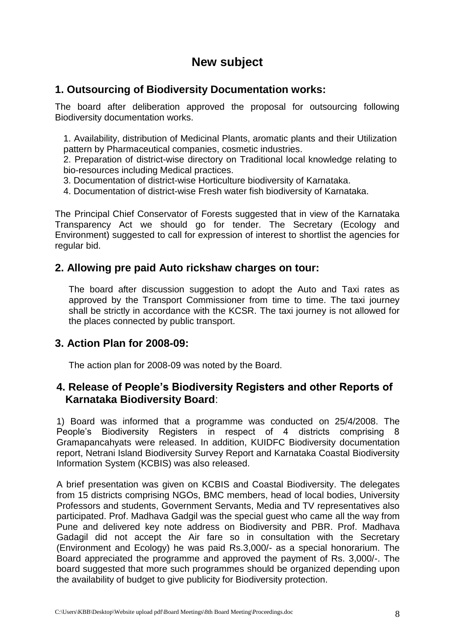# **New subject**

# **1. Outsourcing of Biodiversity Documentation works:**

The board after deliberation approved the proposal for outsourcing following Biodiversity documentation works.

1. Availability, distribution of Medicinal Plants, aromatic plants and their Utilization pattern by Pharmaceutical companies, cosmetic industries.

2. Preparation of district-wise directory on Traditional local knowledge relating to bio-resources including Medical practices.

3. Documentation of district-wise Horticulture biodiversity of Karnataka.

4. Documentation of district-wise Fresh water fish biodiversity of Karnataka.

The Principal Chief Conservator of Forests suggested that in view of the Karnataka Transparency Act we should go for tender. The Secretary (Ecology and Environment) suggested to call for expression of interest to shortlist the agencies for regular bid.

### **2. Allowing pre paid Auto rickshaw charges on tour:**

The board after discussion suggestion to adopt the Auto and Taxi rates as approved by the Transport Commissioner from time to time. The taxi journey shall be strictly in accordance with the KCSR. The taxi journey is not allowed for the places connected by public transport.

### **3. Action Plan for 2008-09:**

The action plan for 2008-09 was noted by the Board.

### **4. Release of People's Biodiversity Registers and other Reports of Karnataka Biodiversity Board**:

1) Board was informed that a programme was conducted on 25/4/2008. The People's Biodiversity Registers in respect of 4 districts comprising 8 Gramapancahyats were released. In addition, KUIDFC Biodiversity documentation report, Netrani Island Biodiversity Survey Report and Karnataka Coastal Biodiversity Information System (KCBIS) was also released.

A brief presentation was given on KCBIS and Coastal Biodiversity. The delegates from 15 districts comprising NGOs, BMC members, head of local bodies, University Professors and students, Government Servants, Media and TV representatives also participated. Prof. Madhava Gadgil was the special guest who came all the way from Pune and delivered key note address on Biodiversity and PBR. Prof. Madhava Gadagil did not accept the Air fare so in consultation with the Secretary (Environment and Ecology) he was paid Rs.3,000/- as a special honorarium. The Board appreciated the programme and approved the payment of Rs. 3,000/-. The board suggested that more such programmes should be organized depending upon the availability of budget to give publicity for Biodiversity protection.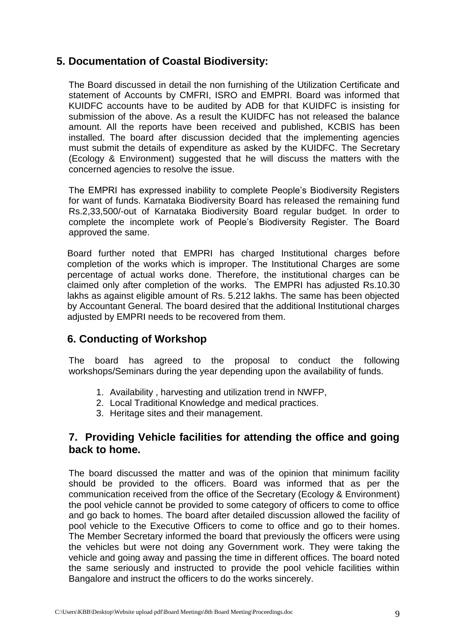# **5. Documentation of Coastal Biodiversity:**

The Board discussed in detail the non furnishing of the Utilization Certificate and statement of Accounts by CMFRI, ISRO and EMPRI. Board was informed that KUIDFC accounts have to be audited by ADB for that KUIDFC is insisting for submission of the above. As a result the KUIDFC has not released the balance amount. All the reports have been received and published, KCBIS has been installed. The board after discussion decided that the implementing agencies must submit the details of expenditure as asked by the KUIDFC. The Secretary (Ecology & Environment) suggested that he will discuss the matters with the concerned agencies to resolve the issue.

The EMPRI has expressed inability to complete People's Biodiversity Registers for want of funds. Karnataka Biodiversity Board has released the remaining fund Rs.2,33,500/-out of Karnataka Biodiversity Board regular budget. In order to complete the incomplete work of People's Biodiversity Register. The Board approved the same.

Board further noted that EMPRI has charged Institutional charges before completion of the works which is improper. The Institutional Charges are some percentage of actual works done. Therefore, the institutional charges can be claimed only after completion of the works. The EMPRI has adjusted Rs.10.30 lakhs as against eligible amount of Rs. 5.212 lakhs. The same has been objected by Accountant General. The board desired that the additional Institutional charges adjusted by EMPRI needs to be recovered from them.

# **6. Conducting of Workshop**

The board has agreed to the proposal to conduct the following workshops/Seminars during the year depending upon the availability of funds.

- 1. Availability , harvesting and utilization trend in NWFP,
- 2. Local Traditional Knowledge and medical practices.
- 3. Heritage sites and their management.

# **7. Providing Vehicle facilities for attending the office and going back to home.**

The board discussed the matter and was of the opinion that minimum facility should be provided to the officers. Board was informed that as per the communication received from the office of the Secretary (Ecology & Environment) the pool vehicle cannot be provided to some category of officers to come to office and go back to homes. The board after detailed discussion allowed the facility of pool vehicle to the Executive Officers to come to office and go to their homes. The Member Secretary informed the board that previously the officers were using the vehicles but were not doing any Government work. They were taking the vehicle and going away and passing the time in different offices. The board noted the same seriously and instructed to provide the pool vehicle facilities within Bangalore and instruct the officers to do the works sincerely.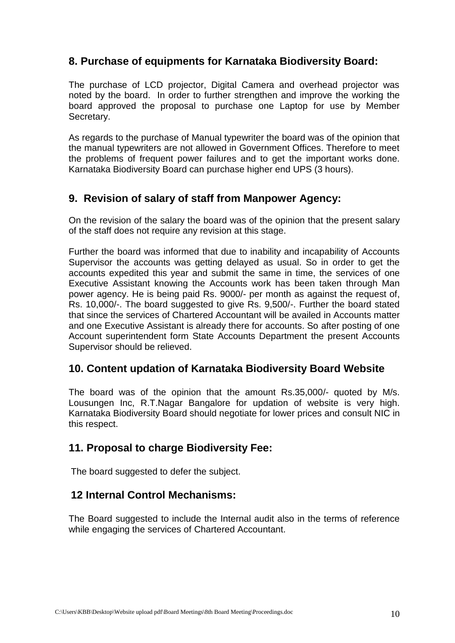# **8. Purchase of equipments for Karnataka Biodiversity Board:**

The purchase of LCD projector, Digital Camera and overhead projector was noted by the board. In order to further strengthen and improve the working the board approved the proposal to purchase one Laptop for use by Member Secretary.

As regards to the purchase of Manual typewriter the board was of the opinion that the manual typewriters are not allowed in Government Offices. Therefore to meet the problems of frequent power failures and to get the important works done. Karnataka Biodiversity Board can purchase higher end UPS (3 hours).

# **9. Revision of salary of staff from Manpower Agency:**

On the revision of the salary the board was of the opinion that the present salary of the staff does not require any revision at this stage.

Further the board was informed that due to inability and incapability of Accounts Supervisor the accounts was getting delayed as usual. So in order to get the accounts expedited this year and submit the same in time, the services of one Executive Assistant knowing the Accounts work has been taken through Man power agency. He is being paid Rs. 9000/- per month as against the request of, Rs. 10,000/-. The board suggested to give Rs. 9,500/-. Further the board stated that since the services of Chartered Accountant will be availed in Accounts matter and one Executive Assistant is already there for accounts. So after posting of one Account superintendent form State Accounts Department the present Accounts Supervisor should be relieved.

# **10. Content updation of Karnataka Biodiversity Board Website**

The board was of the opinion that the amount Rs.35,000/- quoted by M/s. Lousungen Inc, R.T.Nagar Bangalore for updation of website is very high. Karnataka Biodiversity Board should negotiate for lower prices and consult NIC in this respect.

# **11. Proposal to charge Biodiversity Fee:**

The board suggested to defer the subject.

# **12 Internal Control Mechanisms:**

The Board suggested to include the Internal audit also in the terms of reference while engaging the services of Chartered Accountant.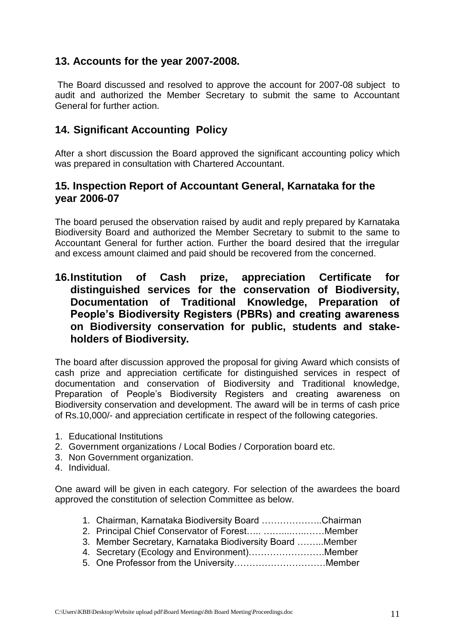# **13. Accounts for the year 2007-2008.**

The Board discussed and resolved to approve the account for 2007-08 subject to audit and authorized the Member Secretary to submit the same to Accountant General for further action.

# **14. Significant Accounting Policy**

After a short discussion the Board approved the significant accounting policy which was prepared in consultation with Chartered Accountant.

# **15. Inspection Report of Accountant General, Karnataka for the year 2006-07**

The board perused the observation raised by audit and reply prepared by Karnataka Biodiversity Board and authorized the Member Secretary to submit to the same to Accountant General for further action. Further the board desired that the irregular and excess amount claimed and paid should be recovered from the concerned.

# **16.Institution of Cash prize, appreciation Certificate for distinguished services for the conservation of Biodiversity, Documentation of Traditional Knowledge, Preparation of People's Biodiversity Registers (PBRs) and creating awareness on Biodiversity conservation for public, students and stakeholders of Biodiversity.**

The board after discussion approved the proposal for giving Award which consists of cash prize and appreciation certificate for distinguished services in respect of documentation and conservation of Biodiversity and Traditional knowledge, Preparation of People's Biodiversity Registers and creating awareness on Biodiversity conservation and development. The award will be in terms of cash price of Rs.10,000/- and appreciation certificate in respect of the following categories.

- 1. Educational Institutions
- 2. Government organizations / Local Bodies / Corporation board etc.
- 3. Non Government organization.
- 4. Individual.

One award will be given in each category. For selection of the awardees the board approved the constitution of selection Committee as below.

| 1. Chairman, Karnataka Biodiversity Board Chairman |  |
|----------------------------------------------------|--|
|                                                    |  |

- 3. Member Secretary, Karnataka Biodiversity Board ……...Member
- 4. Secretary (Ecology and Environment)…………………….Member
- 
- 5. One Professor from the University…………………………Member